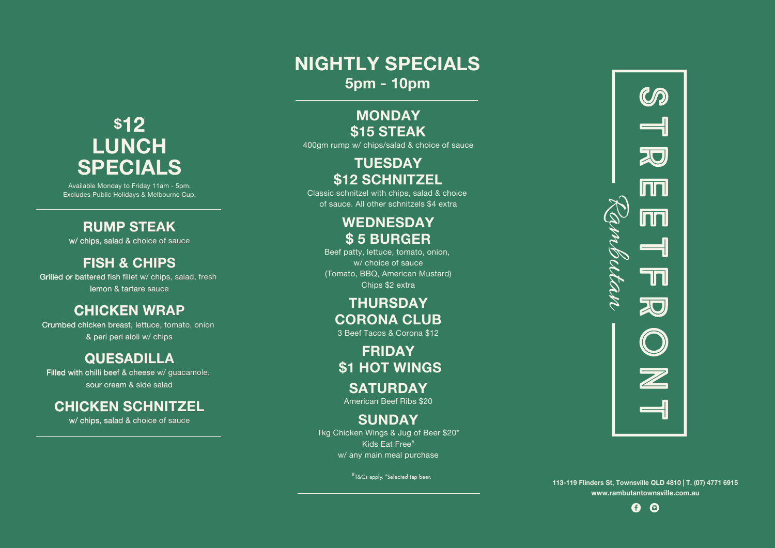**113-119 Flinders St, Townsville QLD 4810 | T. (07) 4771 6915 www.rambutantownsville.com.au**



## **NIGHTLY SPECIALS 5pm - 10pm**

## **MONDAY \$15 STEAK**

400gm rump w/ chips/salad & choice of sauce

## **TUESDAY \$12 SCHNITZEL**

Classic schnitzel with chips, salad & choice of sauce. All other schnitzels \$4 extra

## **WEDNESDAY \$ 5 BURGER**

Beef patty, lettuce, tomato, onion, w/ choice of sauce (Tomato, BBQ, American Mustard) Chips \$2 extra

## **THURSDAY CORONA CLUB**

3 Beef Tacos & Corona \$12

**FRIDAY \$1 HOT WINGS SATURDAY**

American Beef Ribs \$20

### **SUNDAY**

Available Monday to Friday 11am - 5pm. Excludes Public Holidays & Melbourne Cup.

> 1kg Chicken Wings & Jug of Beer \$20\* Kids Eat Free# w/ any main meal purchase

> > #T&Cs apply. \*Selected tap beer.



### **RUMP STEAK**

w/ chips, salad & choice of sauce

### **FISH & CHIPS**

Grilled or battered fish fillet w/ chips, salad, fresh lemon & tartare sauce

#### **CHICKEN WRAP**

Crumbed chicken breast, lettuce, tomato, onion & peri peri aioli w/ chips

#### **QUESADILLA**

Filled with chilli beef & cheese w/ guacamole, sour cream & side salad

## **CHICKEN SCHNITZEL**

w/ chips, salad & choice of sauce

# **\$12 LUNCH SPECIALS**